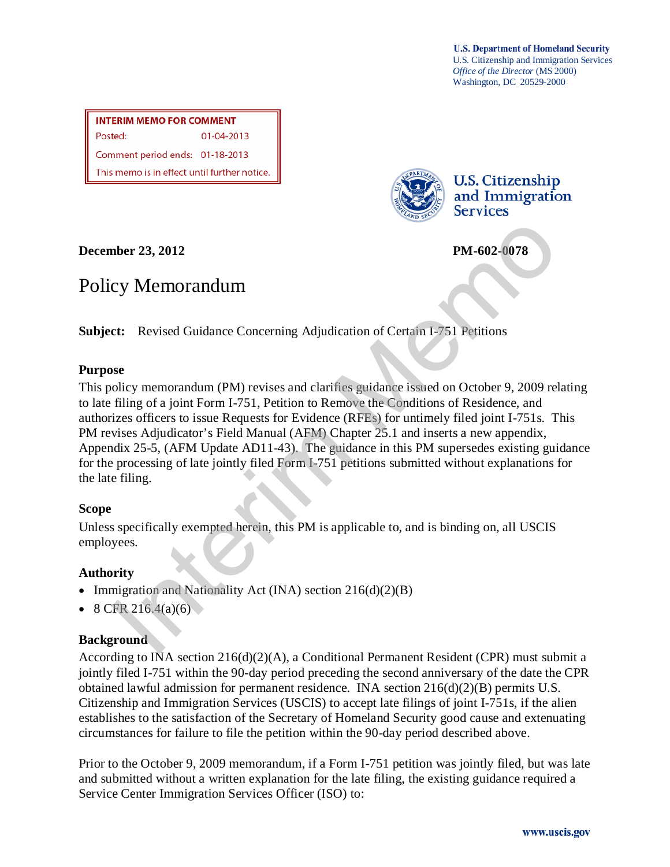**U.S. Department of Homeland Security** U.S. Citizenship and Immigration Services *Office of the Director* (MS 2000) Washington, DC 20529-2000

**INTERIM MEMO FOR COMMENT** Posted: 01-04-2013 Comment period ends: 01-18-2013 This memo is in effect until further notice.



**U.S. Citizenship** and Immigration **Services** 

**December 23, 2012 PM-602-0078**

# Policy Memorandum

**Subject:** Revised Guidance Concerning Adjudication of Certain I-751 Petitions

## **Purpose**

This policy memorandum (PM) revises and clarifies guidance issued on October 9, 2009 relating to late filing of a joint Form I-751, Petition to Remove the Conditions of Residence, and authorizes officers to issue Requests for Evidence (RFEs) for untimely filed joint I-751s. This PM revises Adjudicator's Field Manual (AFM) Chapter 25.1 and inserts a new appendix, Appendix 25-5, (AFM Update AD11-43). The guidance in this PM supersedes existing guidance for the processing of late jointly filed Form I-751 petitions submitted without explanations for the late filing. **EXECUTE 2018**<br> **EXECUTE 2018**<br> **EXECUTE 2018**<br> **EXECUTE 2018**<br> **EXECUTE 2019**<br> **EXECUTE 2019**<br> **EXECUTE 2019**<br> **EXECUTE 2019**<br> **EXECUTE 2019**<br> **EXECUTE 2019**<br> **EXECUTE 2019**<br> **EXECUTE 2019**<br> **EXECUTE 2019**<br> **EXECUTE 2019** 

## **Scope**

Unless specifically exempted herein, this PM is applicable to, and is binding on, all USCIS employees.

# **Authority**

- Immigration and Nationality Act (INA) section  $216(d)(2)(B)$
- 8 CFR 216.4(a)(6)

## **Background**

According to INA section  $216(d)(2)(A)$ , a Conditional Permanent Resident (CPR) must submit a jointly filed I-751 within the 90-day period preceding the second anniversary of the date the CPR obtained lawful admission for permanent residence. INA section  $216(d)(2)(B)$  permits U.S. Citizenship and Immigration Services (USCIS) to accept late filings of joint I-751s, if the alien establishes to the satisfaction of the Secretary of Homeland Security good cause and extenuating circumstances for failure to file the petition within the 90-day period described above.

Prior to the October 9, 2009 memorandum, if a Form I-751 petition was jointly filed, but was late and submitted without a written explanation for the late filing, the existing guidance required a Service Center Immigration Services Officer (ISO) to: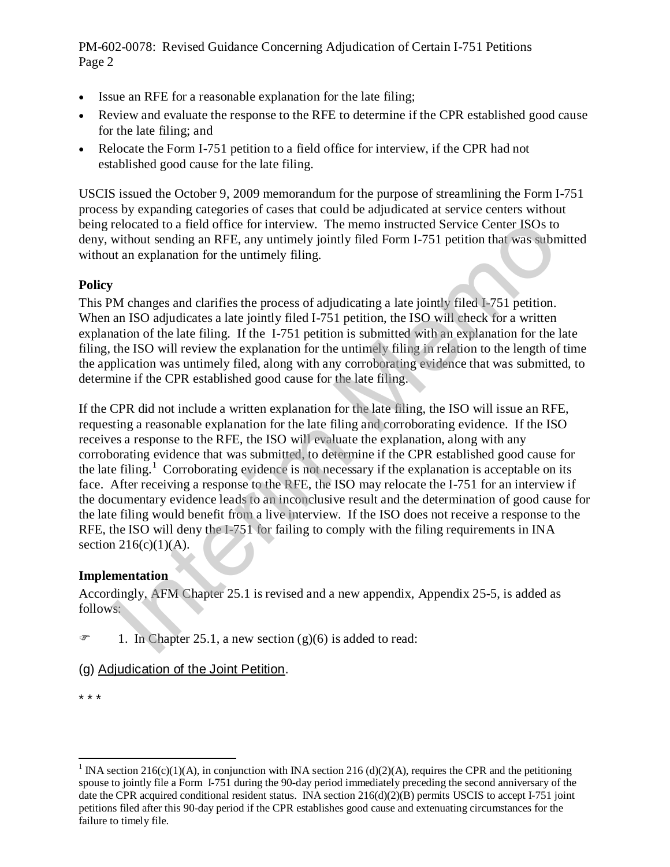- Issue an RFE for a reasonable explanation for the late filing;
- Review and evaluate the response to the RFE to determine if the CPR established good cause for the late filing; and
- Relocate the Form I-751 petition to a field office for interview, if the CPR had not established good cause for the late filing.

USCIS issued the October 9, 2009 memorandum for the purpose of streamlining the Form I-751 process by expanding categories of cases that could be adjudicated at service centers without being relocated to a field office for interview. The memo instructed Service Center ISOs to deny, without sending an RFE, any untimely jointly filed Form I-751 petition that was submitted without an explanation for the untimely filing.

## **Policy**

This PM changes and clarifies the process of adjudicating a late jointly filed I-751 petition. When an ISO adjudicates a late jointly filed I-751 petition, the ISO will check for a written explanation of the late filing. If the I-751 petition is submitted with an explanation for the late filing, the ISO will review the explanation for the untimely filing in relation to the length of time the application was untimely filed, along with any corroborating evidence that was submitted, to determine if the CPR established good cause for the late filing.

If the CPR did not include a written explanation for the late filing, the ISO will issue an RFE, requesting a reasonable explanation for the late filing and corroborating evidence. If the ISO receives a response to the RFE, the ISO will evaluate the explanation, along with any corroborating evidence that was submitted, to determine if the CPR established good cause for the late filing.<sup>1</sup> Corroborating evidence is not necessary if the explanation is acceptable on its face. After receiving a response to the RFE, the ISO may relocate the I-751 for an interview if the documentary evidence leads to an inconclusive result and the determination of good cause for the late filing would benefit from a live interview. If the ISO does not receive a response to the RFE, the ISO will deny the I-751 for failing to comply with the filing requirements in INA section  $216(c)(1)(A)$ . relocated to a field offere for interview. The memo instructed Service Center ISOs to<br>evidented to a field offere for interview. The memo instructed Service Center ISOs to<br>the the and a field offere. For interview the unt

#### **Implementation**

Accordingly, AFM Chapter 25.1 is revised and a new appendix, Appendix 25-5, is added as follows:

- $\mathcal{F}$  1. In Chapter 25.1, a new section (g)(6) is added to read:
- (g) Adjudication of the Joint Petition.
- \* \* \*

 $\overline{a}$ 

<span id="page-1-0"></span><sup>&</sup>lt;sup>1</sup> INA section 216(c)(1)(A), in conjunction with INA section 216 (d)(2)(A), requires the CPR and the petitioning spouse to jointly file a Form I-751 during the 90-day period immediately preceding the second anniversary of the date the CPR acquired conditional resident status. INA section  $216(d)(2)(B)$  permits USCIS to accept I-751 joint petitions filed after this 90-day period if the CPR establishes good cause and extenuating circumstances for the failure to timely file.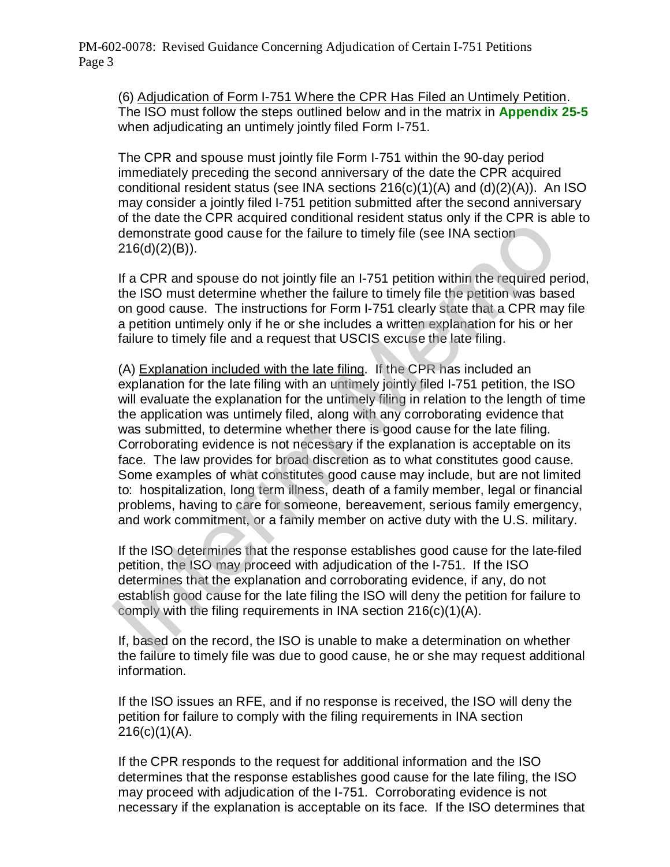(6) Adjudication of Form I-751 Where the CPR Has Filed an Untimely Petition. The ISO must follow the steps outlined below and in the matrix in **Appendix 25-5** when adjudicating an untimely jointly filed Form I-751.

The CPR and spouse must jointly file Form I-751 within the 90-day period immediately preceding the second anniversary of the date the CPR acquired conditional resident status (see INA sections 216(c)(1)(A) and (d)(2)(A)). An ISO may consider a jointly filed I-751 petition submitted after the second anniversary of the date the CPR acquired conditional resident status only if the CPR is able to demonstrate good cause for the failure to timely file (see INA section 216(d)(2)(B)).

If a CPR and spouse do not jointly file an I-751 petition within the required period, the ISO must determine whether the failure to timely file the petition was based on good cause. The instructions for Form I-751 clearly state that a CPR may file a petition untimely only if he or she includes a written explanation for his or her failure to timely file and a request that USCIS excuse the late filing.

(A) Explanation included with the late filing. If the CPR has included an explanation for the late filing with an untimely jointly filed I-751 petition, the ISO will evaluate the explanation for the untimely filing in relation to the length of time the application was untimely filed, along with any corroborating evidence that was submitted, to determine whether there is good cause for the late filing. Corroborating evidence is not necessary if the explanation is acceptable on its face. The law provides for broad discretion as to what constitutes good cause. Some examples of what constitutes good cause may include, but are not limited to: hospitalization, long term illness, death of a family member, legal or financial problems, having to care for someone, bereavement, serious family emergency, and work commitment, or a family member on active duty with the U.S. military. of the case the C in sequence to mean the solen and one of entropy in the C interval of entropy that a CPR and spouse do not jointly file an 1-751 petition within the required perfect 216(d)(2)(B)).<br>If a CPR and spouse do

If the ISO determines that the response establishes good cause for the late-filed petition, the ISO may proceed with adjudication of the I-751. If the ISO determines that the explanation and corroborating evidence, if any, do not establish good cause for the late filing the ISO will deny the petition for failure to comply with the filing requirements in INA section 216(c)(1)(A).

If, based on the record, the ISO is unable to make a determination on whether the failure to timely file was due to good cause, he or she may request additional information.

If the ISO issues an RFE, and if no response is received, the ISO will deny the petition for failure to comply with the filing requirements in INA section  $216(c)(1)(A)$ .

If the CPR responds to the request for additional information and the ISO determines that the response establishes good cause for the late filing, the ISO may proceed with adjudication of the I-751. Corroborating evidence is not necessary if the explanation is acceptable on its face. If the ISO determines that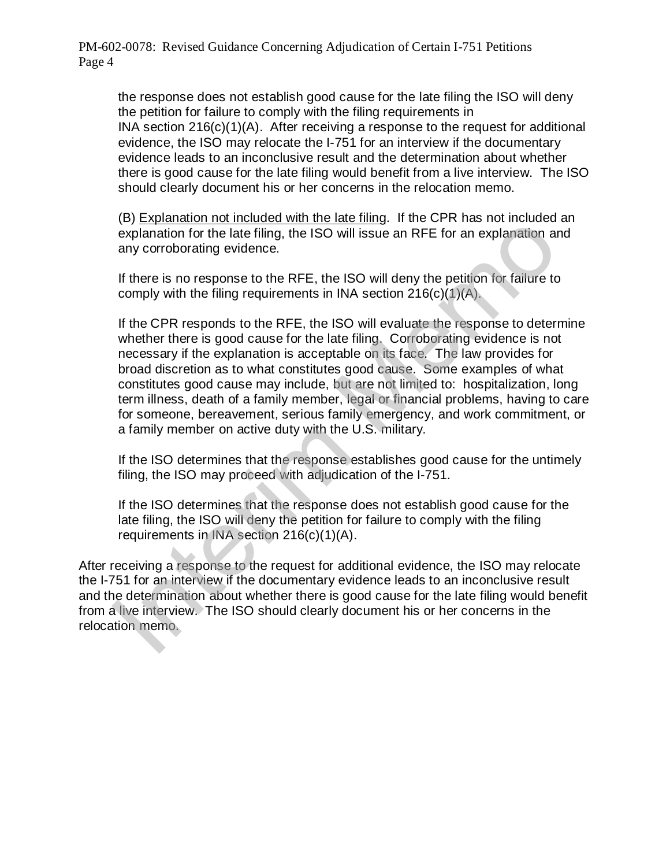the response does not establish good cause for the late filing the ISO will deny the petition for failure to comply with the filing requirements in INA section 216(c)(1)(A). After receiving a response to the request for additional evidence, the ISO may relocate the I-751 for an interview if the documentary evidence leads to an inconclusive result and the determination about whether there is good cause for the late filing would benefit from a live interview. The ISO should clearly document his or her concerns in the relocation memo.

(B) Explanation not included with the late filing. If the CPR has not included an explanation for the late filing, the ISO will issue an RFE for an explanation and any corroborating evidence.

If there is no response to the RFE, the ISO will deny the petition for failure to comply with the filing requirements in INA section 216(c)(1)(A).

If the CPR responds to the RFE, the ISO will evaluate the response to determine whether there is good cause for the late filing. Corroborating evidence is not necessary if the explanation is acceptable on its face. The law provides for broad discretion as to what constitutes good cause. Some examples of what constitutes good cause may include, but are not limited to: hospitalization, long term illness, death of a family member, legal or financial problems, having to care for someone, bereavement, serious family emergency, and work commitment, or a family member on active duty with the U.S. military. (b) Experimentation for the late filling, the ISO will issue an RFE for an explanation are explanation for the late filling, the ISO will issue an RFE for an explanation are any corroborating evidence.<br>If there is no resp

If the ISO determines that the response establishes good cause for the untimely filing, the ISO may proceed with adjudication of the I-751.

If the ISO determines that the response does not establish good cause for the late filing, the ISO will deny the petition for failure to comply with the filing requirements in INA section 216(c)(1)(A).

After receiving a response to the request for additional evidence, the ISO may relocate the I-751 for an interview if the documentary evidence leads to an inconclusive result and the determination about whether there is good cause for the late filing would benefit from a live interview. The ISO should clearly document his or her concerns in the relocation memo.